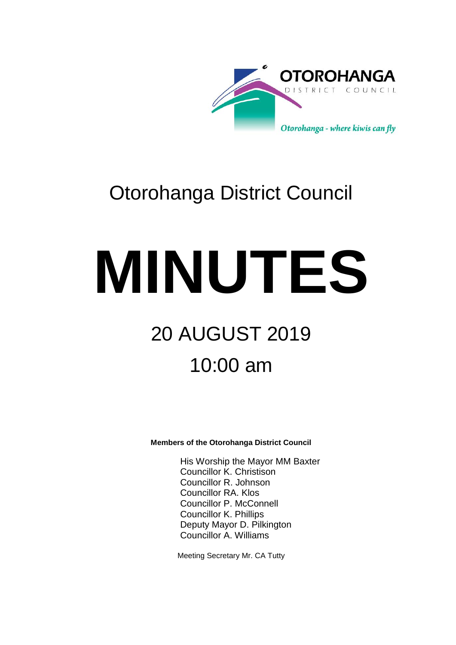

# Otorohanga District Council

# **MINUTES** 20 AUGUST 2019 10:00 am

**Members of the Otorohanga District Council**

His Worship the Mayor MM Baxter Councillor K. Christison Councillor R. Johnson Councillor RA. Klos Councillor P. McConnell Councillor K. Phillips Deputy Mayor D. Pilkington Councillor A. Williams

Meeting Secretary Mr. CA Tutty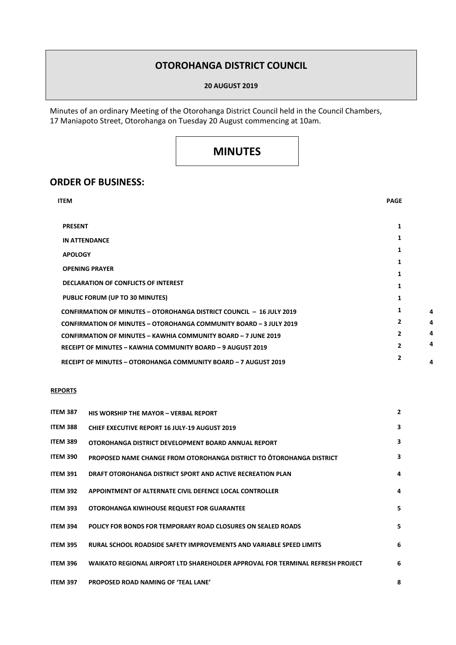## **OTOROHANGA DISTRICT COUNCIL**

#### **20 AUGUST 2019**

Minutes of an ordinary Meeting of the Otorohanga District Council held in the Council Chambers, 17 Maniapoto Street, Otorohanga on Tuesday 20 August commencing at 10am.

# **MINUTES**

### **ORDER OF BUSINESS:**

| <b>ITEM</b>                                                                                                                                       | <b>PAGE</b>    |  |
|---------------------------------------------------------------------------------------------------------------------------------------------------|----------------|--|
| <b>PRESENT</b>                                                                                                                                    | 1              |  |
| <b>IN ATTENDANCE</b>                                                                                                                              | 1              |  |
| <b>APOLOGY</b>                                                                                                                                    | 1              |  |
| <b>OPENING PRAYER</b>                                                                                                                             | 1              |  |
| <b>DECLARATION OF CONFLICTS OF INTEREST</b>                                                                                                       | 1              |  |
| PUBLIC FORUM (UP TO 30 MINUTES)                                                                                                                   | 1              |  |
|                                                                                                                                                   | 1<br>1         |  |
| <b>CONFIRMATION OF MINUTES - OTOROHANGA DISTRICT COUNCIL - 16 JULY 2019</b><br>CONFIRMATION OF MINUTES - OTOROHANGA COMMUNITY BOARD - 3 JULY 2019 | $\overline{2}$ |  |
| <b>CONFIRMATION OF MINUTES - KAWHIA COMMUNITY BOARD - 7 JUNE 2019</b>                                                                             | $\overline{2}$ |  |
| <b>RECEIPT OF MINUTES - KAWHIA COMMUNITY BOARD - 9 AUGUST 2019</b>                                                                                | $\mathbf{2}$   |  |
| RECEIPT OF MINUTES - OTOROHANGA COMMUNITY BOARD - 7 AUGUST 2019                                                                                   | $\mathbf{2}$   |  |
|                                                                                                                                                   |                |  |

#### **REPORTS**

| <b>ITEM 387</b> | <b>HIS WORSHIP THE MAYOR - VERBAL REPORT</b>                                   | $\overline{2}$ |
|-----------------|--------------------------------------------------------------------------------|----------------|
| <b>ITEM 388</b> | <b>CHIEF EXECUTIVE REPORT 16 JULY-19 AUGUST 2019</b>                           | 3              |
| <b>ITEM 389</b> | OTOROHANGA DISTRICT DEVELOPMENT BOARD ANNUAL REPORT                            | 3              |
| <b>ITEM 390</b> | PROPOSED NAME CHANGE FROM OTOROHANGA DISTRICT TO OTOROHANGA DISTRICT           | 3              |
| <b>ITEM 391</b> | DRAFT OTOROHANGA DISTRICT SPORT AND ACTIVE RECREATION PLAN                     | 4              |
| <b>ITEM 392</b> | APPOINTMENT OF ALTERNATE CIVIL DEFENCE LOCAL CONTROLLER                        | 4              |
| <b>ITEM 393</b> | OTOROHANGA KIWIHOUSE REQUEST FOR GUARANTEE                                     | 5              |
| <b>ITEM 394</b> | POLICY FOR BONDS FOR TEMPORARY ROAD CLOSURES ON SEALED ROADS                   | 5              |
| <b>ITEM 395</b> | RURAL SCHOOL ROADSIDE SAFETY IMPROVEMENTS AND VARIABLE SPEED LIMITS            | 6              |
| <b>ITEM 396</b> | WAIKATO REGIONAL AIRPORT LTD SHAREHOLDER APPROVAL FOR TERMINAL REFRESH PROJECT | 6              |
| <b>ITEM 397</b> | PROPOSED ROAD NAMING OF 'TEAL LANE'                                            | 8              |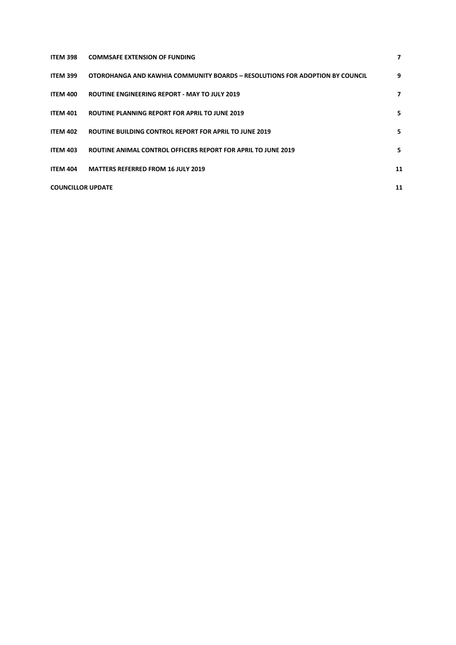| ITEM 398                 | <b>COMMSAFE EXTENSION OF FUNDING</b>                                         | 7  |
|--------------------------|------------------------------------------------------------------------------|----|
| ITEM 399                 | OTOROHANGA AND KAWHIA COMMUNITY BOARDS - RESOLUTIONS FOR ADOPTION BY COUNCIL | 9  |
| <b>ITEM 400</b>          | ROUTINE ENGINEERING REPORT - MAY TO JULY 2019                                | 7  |
| <b>ITEM 401</b>          | ROUTINE PLANNING REPORT FOR APRIL TO JUNE 2019                               | 5  |
| <b>ITEM 402</b>          | <b>ROUTINE BUILDING CONTROL REPORT FOR APRIL TO JUNE 2019</b>                | 5  |
| <b>ITEM 403</b>          | ROUTINE ANIMAL CONTROL OFFICERS REPORT FOR APRIL TO JUNE 2019                | 5  |
| <b>ITEM 404</b>          | <b>MATTERS REFERRED FROM 16 JULY 2019</b>                                    | 11 |
| <b>COUNCILLOR UPDATE</b> |                                                                              | 11 |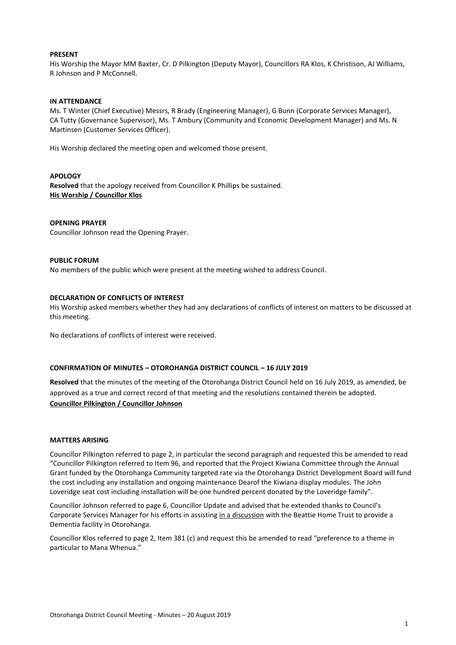#### **PRESENT**

His Worship the Mayor MM Baxter, Cr. D Pilkington (Deputy Mayor), Councillors RA Klos, K Christison, AJ Williams, R Johnson and P McConnell.

#### **IN ATTENDANCE**

Ms. T Winter (Chief Executive) Messrs, R Brady (Engineering Manager), G Bunn (Corporate Services Manager), CA Tutty (Governance Supervisor), Ms. T Ambury (Community and Economic Development Manager) and Ms. N Martinsen (Customer Services Officer).

His Worship declared the meeting open and welcomed those present.

#### **APOLOGY**

**Resolved** that the apology received from Councillor K Phillips be sustained. **His Worship / Councillor Klos**

#### **OPENING PRAYER**

Councillor Johnson read the Opening Prayer.

#### **PUBLIC FORUM**

No members of the public which were present at the meeting wished to address Council.

#### **DECLARATION OF CONFLICTS OF INTEREST**

His Worship asked members whether they had any declarations of conflicts of interest on matters to be discussed at this meeting.

No declarations of conflicts of interest were received.

#### **CONFIRMATION OF MINUTES – OTOROHANGA DISTRICT COUNCIL – 16 JULY 2019**

**Resolved** that the minutes of the meeting of the Otorohanga District Council held on 16 July 2019, as amended, be approved as a true and correct record of that meeting and the resolutions contained therein be adopted. **Councillor Pilkington / Councillor Johnson**

#### **MATTERS ARISING**

Councillor Pilkington referred to page 2, in particular the second paragraph and requested this be amended to read "Councillor Pilkington referred to Item 96, and reported that the Project Kiwiana Committee through the Annual Grant funded by the Otorohanga Community targeted rate via the Otorohanga District Development Board will fund the cost including any installation and ongoing maintenance Dearof the Kiwiana display modules. The John Loveridge seat cost including installation will be one hundred percent donated by the Loveridge family".

Councillor Johnson referred to page 6, Councillor Update and advised that he extended thanks to Council's Corporate Services Manager for his efforts in assisting in a discussion with the Beattie Home Trust to provide a Dementia facility in Otorohanga.

Councillor Klos referred to page 2, Item 381 (c) and request this be amended to read "preference to a theme in particular to Mana Whenua."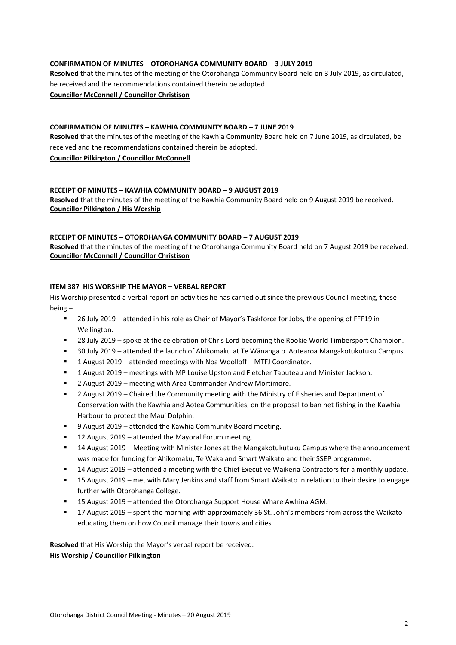#### **CONFIRMATION OF MINUTES – OTOROHANGA COMMUNITY BOARD – 3 JULY 2019**

**Resolved** that the minutes of the meeting of the Otorohanga Community Board held on 3 July 2019, as circulated, be received and the recommendations contained therein be adopted. **Councillor McConnell / Councillor Christison**

#### **CONFIRMATION OF MINUTES – KAWHIA COMMUNITY BOARD – 7 JUNE 2019**

**Resolved** that the minutes of the meeting of the Kawhia Community Board held on 7 June 2019, as circulated, be received and the recommendations contained therein be adopted.

#### **Councillor Pilkington / Councillor McConnell**

#### **RECEIPT OF MINUTES – KAWHIA COMMUNITY BOARD – 9 AUGUST 2019**

**Resolved** that the minutes of the meeting of the Kawhia Community Board held on 9 August 2019 be received. **Councillor Pilkington / His Worship**

#### **RECEIPT OF MINUTES – OTOROHANGA COMMUNITY BOARD – 7 AUGUST 2019**

**Resolved** that the minutes of the meeting of the Otorohanga Community Board held on 7 August 2019 be received. **Councillor McConnell / Councillor Christison**

#### **ITEM 387 HIS WORSHIP THE MAYOR – VERBAL REPORT**

His Worship presented a verbal report on activities he has carried out since the previous Council meeting, these being –

- 26 July 2019 attended in his role as Chair of Mayor's Taskforce for Jobs, the opening of FFF19 in Wellington.
- 28 July 2019 spoke at the celebration of Chris Lord becoming the Rookie World Timbersport Champion.
- 30 July 2019 attended the launch of Ahikomaku at Te Wānanga o Aotearoa Mangakotukutuku Campus.
- 1 August 2019 attended meetings with Noa Woolloff MTFJ Coordinator.
- 1 August 2019 meetings with MP Louise Upston and Fletcher Tabuteau and Minister Jackson.
- 2 August 2019 meeting with Area Commander Andrew Mortimore.
- 2 August 2019 Chaired the Community meeting with the Ministry of Fisheries and Department of Conservation with the Kawhia and Aotea Communities, on the proposal to ban net fishing in the Kawhia Harbour to protect the Maui Dolphin.
- 9 August 2019 attended the Kawhia Community Board meeting.
- 12 August 2019 attended the Mayoral Forum meeting.
- 14 August 2019 Meeting with Minister Jones at the Mangakotukutuku Campus where the announcement was made for funding for Ahikomaku, Te Waka and Smart Waikato and their SSEP programme.
- 14 August 2019 attended a meeting with the Chief Executive Waikeria Contractors for a monthly update.
- 15 August 2019 met with Mary Jenkins and staff from Smart Waikato in relation to their desire to engage further with Otorohanga College.
- 15 August 2019 attended the Otorohanga Support House Whare Awhina AGM.
- 17 August 2019 spent the morning with approximately 36 St. John's members from across the Waikato educating them on how Council manage their towns and cities.

**Resolved** that His Worship the Mayor's verbal report be received.

#### **His Worship / Councillor Pilkington**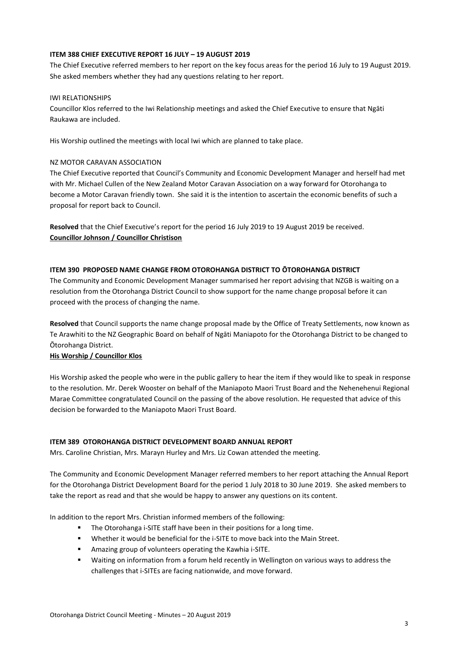#### **ITEM 388 CHIEF EXECUTIVE REPORT 16 JULY – 19 AUGUST 2019**

The Chief Executive referred members to her report on the key focus areas for the period 16 July to 19 August 2019. She asked members whether they had any questions relating to her report.

#### IWI RELATIONSHIPS

Councillor Klos referred to the Iwi Relationship meetings and asked the Chief Executive to ensure that Ngāti Raukawa are included.

His Worship outlined the meetings with local Iwi which are planned to take place.

#### NZ MOTOR CARAVAN ASSOCIATION

The Chief Executive reported that Council's Community and Economic Development Manager and herself had met with Mr. Michael Cullen of the New Zealand Motor Caravan Association on a way forward for Otorohanga to become a Motor Caravan friendly town. She said it is the intention to ascertain the economic benefits of such a proposal for report back to Council.

**Resolved** that the Chief Executive's report for the period 16 July 2019 to 19 August 2019 be received. **Councillor Johnson / Councillor Christison**

#### **ITEM 390 PROPOSED NAME CHANGE FROM OTOROHANGA DISTRICT TO ŌTOROHANGA DISTRICT**

The Community and Economic Development Manager summarised her report advising that NZGB is waiting on a resolution from the Otorohanga District Council to show support for the name change proposal before it can proceed with the process of changing the name.

**Resolved** that Council supports the name change proposal made by the Office of Treaty Settlements, now known as Te Arawhiti to the NZ Geographic Board on behalf of Ngāti Maniapoto for the Otorohanga District to be changed to Ōtorohanga District.

#### **His Worship / Councillor Klos**

His Worship asked the people who were in the public gallery to hear the item if they would like to speak in response to the resolution. Mr. Derek Wooster on behalf of the Maniapoto Maori Trust Board and the Nehenehenui Regional Marae Committee congratulated Council on the passing of the above resolution. He requested that advice of this decision be forwarded to the Maniapoto Maori Trust Board.

#### **ITEM 389 OTOROHANGA DISTRICT DEVELOPMENT BOARD ANNUAL REPORT**

Mrs. Caroline Christian, Mrs. Marayn Hurley and Mrs. Liz Cowan attended the meeting.

The Community and Economic Development Manager referred members to her report attaching the Annual Report for the Otorohanga District Development Board for the period 1 July 2018 to 30 June 2019. She asked members to take the report as read and that she would be happy to answer any questions on its content.

In addition to the report Mrs. Christian informed members of the following:

- The Otorohanga i-SITE staff have been in their positions for a long time.
- Whether it would be beneficial for the i-SITE to move back into the Main Street.
- Amazing group of volunteers operating the Kawhia i-SITE.
- Waiting on information from a forum held recently in Wellington on various ways to address the challenges that i-SITEs are facing nationwide, and move forward.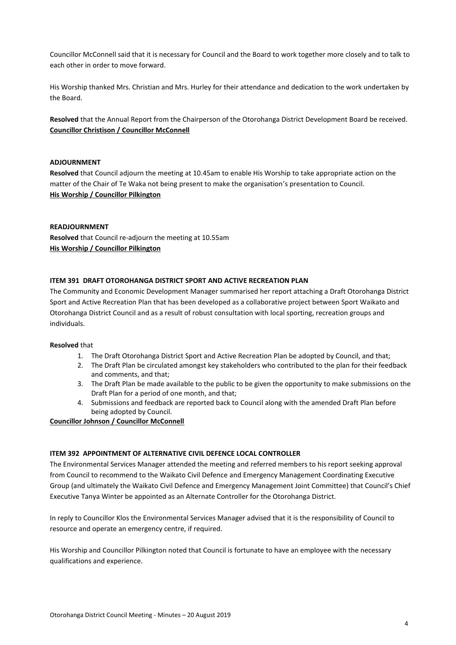Councillor McConnell said that it is necessary for Council and the Board to work together more closely and to talk to each other in order to move forward.

His Worship thanked Mrs. Christian and Mrs. Hurley for their attendance and dedication to the work undertaken by the Board.

**Resolved** that the Annual Report from the Chairperson of the Otorohanga District Development Board be received. **Councillor Christison / Councillor McConnell**

#### **ADJOURNMENT**

**Resolved** that Council adjourn the meeting at 10.45am to enable His Worship to take appropriate action on the matter of the Chair of Te Waka not being present to make the organisation's presentation to Council. **His Worship / Councillor Pilkington**

#### **READJOURNMENT**

**Resolved** that Council re-adjourn the meeting at 10.55am **His Worship / Councillor Pilkington**

#### **ITEM 391 DRAFT OTOROHANGA DISTRICT SPORT AND ACTIVE RECREATION PLAN**

The Community and Economic Development Manager summarised her report attaching a Draft Otorohanga District Sport and Active Recreation Plan that has been developed as a collaborative project between Sport Waikato and Otorohanga District Council and as a result of robust consultation with local sporting, recreation groups and individuals.

#### **Resolved** that

- 1. The Draft Otorohanga District Sport and Active Recreation Plan be adopted by Council, and that;
- 2. The Draft Plan be circulated amongst key stakeholders who contributed to the plan for their feedback and comments, and that;
- 3. The Draft Plan be made available to the public to be given the opportunity to make submissions on the Draft Plan for a period of one month, and that;
- 4. Submissions and feedback are reported back to Council along with the amended Draft Plan before being adopted by Council.

#### **Councillor Johnson / Councillor McConnell**

#### **ITEM 392 APPOINTMENT OF ALTERNATIVE CIVIL DEFENCE LOCAL CONTROLLER**

The Environmental Services Manager attended the meeting and referred members to his report seeking approval from Council to recommend to the Waikato Civil Defence and Emergency Management Coordinating Executive Group (and ultimately the Waikato Civil Defence and Emergency Management Joint Committee) that Council's Chief Executive Tanya Winter be appointed as an Alternate Controller for the Otorohanga District.

In reply to Councillor Klos the Environmental Services Manager advised that it is the responsibility of Council to resource and operate an emergency centre, if required.

His Worship and Councillor Pilkington noted that Council is fortunate to have an employee with the necessary qualifications and experience.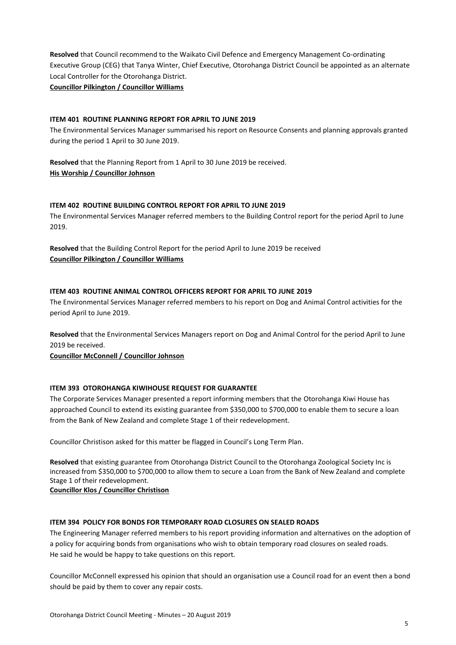**Resolved** that Council recommend to the Waikato Civil Defence and Emergency Management Co-ordinating Executive Group (CEG) that Tanya Winter, Chief Executive, Otorohanga District Council be appointed as an alternate Local Controller for the Otorohanga District.

**Councillor Pilkington / Councillor Williams**

#### **ITEM 401 ROUTINE PLANNING REPORT FOR APRIL TO JUNE 2019**

The Environmental Services Manager summarised his report on Resource Consents and planning approvals granted during the period 1 April to 30 June 2019.

**Resolved** that the Planning Report from 1 April to 30 June 2019 be received. **His Worship / Councillor Johnson**

#### **ITEM 402 ROUTINE BUILDING CONTROL REPORT FOR APRIL TO JUNE 2019**

The Environmental Services Manager referred members to the Building Control report for the period April to June 2019.

**Resolved** that the Building Control Report for the period April to June 2019 be received **Councillor Pilkington / Councillor Williams**

#### **ITEM 403 ROUTINE ANIMAL CONTROL OFFICERS REPORT FOR APRIL TO JUNE 2019**

The Environmental Services Manager referred members to his report on Dog and Animal Control activities for the period April to June 2019.

**Resolved** that the Environmental Services Managers report on Dog and Animal Control for the period April to June 2019 be received.

**Councillor McConnell / Councillor Johnson**

#### **ITEM 393 OTOROHANGA KIWIHOUSE REQUEST FOR GUARANTEE**

The Corporate Services Manager presented a report informing members that the Otorohanga Kiwi House has approached Council to extend its existing guarantee from \$350,000 to \$700,000 to enable them to secure a loan from the Bank of New Zealand and complete Stage 1 of their redevelopment.

Councillor Christison asked for this matter be flagged in Council's Long Term Plan.

**Resolved** that existing guarantee from Otorohanga District Council to the Otorohanga Zoological Society Inc is increased from \$350,000 to \$700,000 to allow them to secure a Loan from the Bank of New Zealand and complete Stage 1 of their redevelopment.

**Councillor Klos / Councillor Christison**

#### **ITEM 394 POLICY FOR BONDS FOR TEMPORARY ROAD CLOSURES ON SEALED ROADS**

The Engineering Manager referred members to his report providing information and alternatives on the adoption of a policy for acquiring bonds from organisations who wish to obtain temporary road closures on sealed roads. He said he would be happy to take questions on this report.

Councillor McConnell expressed his opinion that should an organisation use a Council road for an event then a bond should be paid by them to cover any repair costs.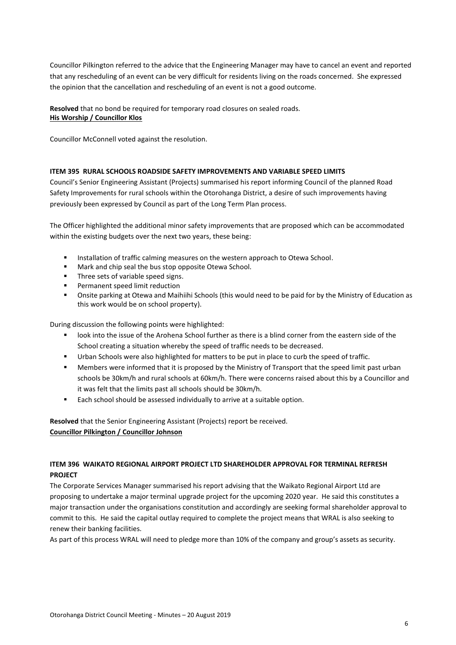Councillor Pilkington referred to the advice that the Engineering Manager may have to cancel an event and reported that any rescheduling of an event can be very difficult for residents living on the roads concerned. She expressed the opinion that the cancellation and rescheduling of an event is not a good outcome.

**Resolved** that no bond be required for temporary road closures on sealed roads. **His Worship / Councillor Klos**

Councillor McConnell voted against the resolution.

#### **ITEM 395 RURAL SCHOOLS ROADSIDE SAFETY IMPROVEMENTS AND VARIABLE SPEED LIMITS**

Council's Senior Engineering Assistant (Projects) summarised his report informing Council of the planned Road Safety Improvements for rural schools within the Otorohanga District, a desire of such improvements having previously been expressed by Council as part of the Long Term Plan process.

The Officer highlighted the additional minor safety improvements that are proposed which can be accommodated within the existing budgets over the next two years, these being:

- Installation of traffic calming measures on the western approach to Otewa School.
- Mark and chip seal the bus stop opposite Otewa School.
- Three sets of variable speed signs.
- Permanent speed limit reduction
- Onsite parking at Otewa and Maihiihi Schools (this would need to be paid for by the Ministry of Education as this work would be on school property).

During discussion the following points were highlighted:

- look into the issue of the Arohena School further as there is a blind corner from the eastern side of the School creating a situation whereby the speed of traffic needs to be decreased.
- Urban Schools were also highlighted for matters to be put in place to curb the speed of traffic.
- Members were informed that it is proposed by the Ministry of Transport that the speed limit past urban schools be 30km/h and rural schools at 60km/h. There were concerns raised about this by a Councillor and it was felt that the limits past all schools should be 30km/h.
- **Each school should be assessed individually to arrive at a suitable option.**

**Resolved** that the Senior Engineering Assistant (Projects) report be received. **Councillor Pilkington / Councillor Johnson**

#### **ITEM 396 WAIKATO REGIONAL AIRPORT PROJECT LTD SHAREHOLDER APPROVAL FOR TERMINAL REFRESH PROJECT**

The Corporate Services Manager summarised his report advising that the Waikato Regional Airport Ltd are proposing to undertake a major terminal upgrade project for the upcoming 2020 year. He said this constitutes a major transaction under the organisations constitution and accordingly are seeking formal shareholder approval to commit to this. He said the capital outlay required to complete the project means that WRAL is also seeking to renew their banking facilities.

As part of this process WRAL will need to pledge more than 10% of the company and group's assets as security.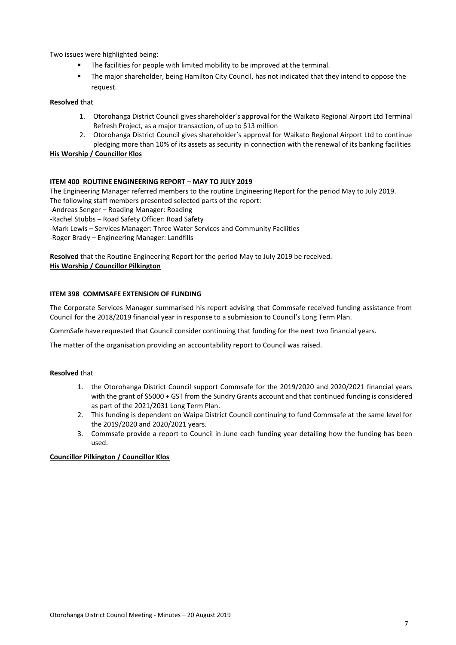Two issues were highlighted being:

- The facilities for people with limited mobility to be improved at the terminal.
- The major shareholder, being Hamilton City Council, has not indicated that they intend to oppose the request.

#### **Resolved** that

- 1. Otorohanga District Council gives shareholder's approval for the Waikato Regional Airport Ltd Terminal Refresh Project, as a major transaction, of up to \$13 million
- 2. Otorohanga District Council gives shareholder's approval for Waikato Regional Airport Ltd to continue pledging more than 10% of its assets as security in connection with the renewal of its banking facilities

#### **His Worship / Councillor Klos**

#### **ITEM 400 ROUTINE ENGINEERING REPORT – MAY TO JULY 2019**

The Engineering Manager referred members to the routine Engineering Report for the period May to July 2019. The following staff members presented selected parts of the report:

-Andreas Senger – Roading Manager: Roading

-Rachel Stubbs – Road Safety Officer: Road Safety

-Mark Lewis – Services Manager: Three Water Services and Community Facilities

-Roger Brady – Engineering Manager: Landfills

**Resolved** that the Routine Engineering Report for the period May to July 2019 be received. **His Worship / Councillor Pilkington**

#### **ITEM 398 COMMSAFE EXTENSION OF FUNDING**

The Corporate Services Manager summarised his report advising that Commsafe received funding assistance from Council for the 2018/2019 financial year in response to a submission to Council's Long Term Plan.

CommSafe have requested that Council consider continuing that funding for the next two financial years.

The matter of the organisation providing an accountability report to Council was raised.

#### **Resolved** that

- 1. the Otorohanga District Council support Commsafe for the 2019/2020 and 2020/2021 financial years with the grant of \$5000 + GST from the Sundry Grants account and that continued funding is considered as part of the 2021/2031 Long Term Plan.
- 2. This funding is dependent on Waipa District Council continuing to fund Commsafe at the same level for the 2019/2020 and 2020/2021 years.
- 3. Commsafe provide a report to Council in June each funding year detailing how the funding has been used.

#### **Councillor Pilkington / Councillor Klos**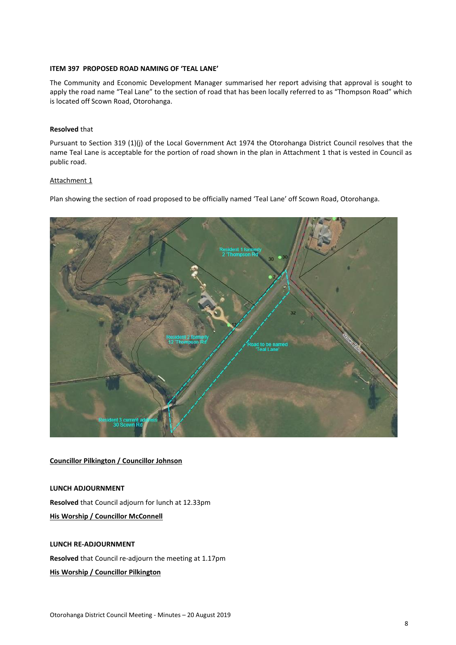#### **ITEM 397 PROPOSED ROAD NAMING OF 'TEAL LANE'**

The Community and Economic Development Manager summarised her report advising that approval is sought to apply the road name "Teal Lane" to the section of road that has been locally referred to as "Thompson Road" which is located off Scown Road, Otorohanga.

#### **Resolved** that

Pursuant to Section 319 (1)(j) of the Local Government Act 1974 the Otorohanga District Council resolves that the name Teal Lane is acceptable for the portion of road shown in the plan in Attachment 1 that is vested in Council as public road.

#### Attachment 1

Plan showing the section of road proposed to be officially named 'Teal Lane' off Scown Road, Otorohanga.



#### **Councillor Pilkington / Councillor Johnson**

#### **LUNCH ADJOURNMENT**

**Resolved** that Council adjourn for lunch at 12.33pm

**His Worship / Councillor McConnell** 

#### **LUNCH RE-ADJOURNMENT**

**Resolved** that Council re-adjourn the meeting at 1.17pm

#### **His Worship / Councillor Pilkington**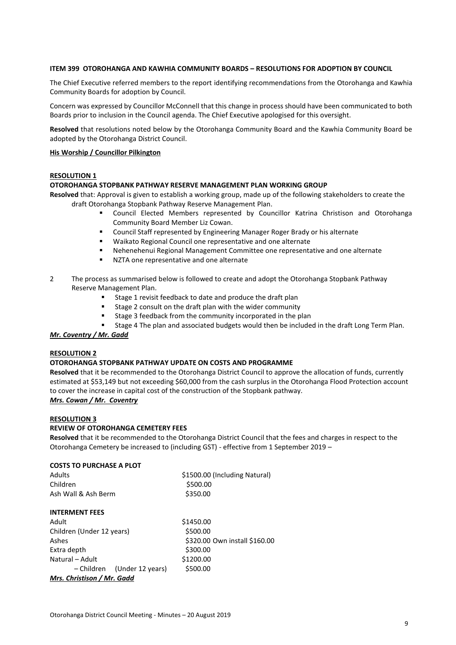#### **ITEM 399 OTOROHANGA AND KAWHIA COMMUNITY BOARDS – RESOLUTIONS FOR ADOPTION BY COUNCIL**

The Chief Executive referred members to the report identifying recommendations from the Otorohanga and Kawhia Community Boards for adoption by Council.

Concern was expressed by Councillor McConnell that this change in process should have been communicated to both Boards prior to inclusion in the Council agenda. The Chief Executive apologised for this oversight.

**Resolved** that resolutions noted below by the Otorohanga Community Board and the Kawhia Community Board be adopted by the Otorohanga District Council.

#### **His Worship / Councillor Pilkington**

#### **RESOLUTION 1**

#### **OTOROHANGA STOPBANK PATHWAY RESERVE MANAGEMENT PLAN WORKING GROUP**

**Resolved** that: Approval is given to establish a working group, made up of the following stakeholders to create the draft Otorohanga Stopbank Pathway Reserve Management Plan.

- Council Elected Members represented by Councillor Katrina Christison and Otorohanga Community Board Member Liz Cowan.
- Council Staff represented by Engineering Manager Roger Brady or his alternate
- Waikato Regional Council one representative and one alternate
- Nehenehenui Regional Management Committee one representative and one alternate
- **NZTA** one representative and one alternate
- 2 The process as summarised below is followed to create and adopt the Otorohanga Stopbank Pathway Reserve Management Plan.
	- Stage 1 revisit feedback to date and produce the draft plan
	- Stage 2 consult on the draft plan with the wider community
	- Stage 3 feedback from the community incorporated in the plan
	- Stage 4 The plan and associated budgets would then be included in the draft Long Term Plan.

#### *Mr. Coventry / Mr. Gadd*

#### **RESOLUTION 2**

#### **OTOROHANGA STOPBANK PATHWAY UPDATE ON COSTS AND PROGRAMME**

**Resolved** that it be recommended to the Otorohanga District Council to approve the allocation of funds, currently estimated at \$53,149 but not exceeding \$60,000 from the cash surplus in the Otorohanga Flood Protection account to cover the increase in capital cost of the construction of the Stopbank pathway.

# *Mrs. Cowan / Mr. Coventry*

#### **RESOLUTION 3**

#### **REVIEW OF OTOROHANGA CEMETERY FEES**

**Resolved** that it be recommended to the Otorohanga District Council that the fees and charges in respect to the Otorohanga Cemetery be increased to (including GST) - effective from 1 September 2019 –

| <b>COSTS TO PURCHASE A PLOT</b> |                               |  |  |  |  |
|---------------------------------|-------------------------------|--|--|--|--|
| <b>Adults</b>                   | \$1500.00 (Including Natural) |  |  |  |  |
| Children                        | \$500.00                      |  |  |  |  |
| Ash Wall & Ash Berm             | \$350.00                      |  |  |  |  |
| <b>INTERMENT FEES</b>           |                               |  |  |  |  |
| Adult                           | \$1450.00                     |  |  |  |  |
| Children (Under 12 years)       | \$500.00                      |  |  |  |  |
| Ashes                           | \$320.00 Own install \$160.00 |  |  |  |  |
| Extra depth                     | \$300.00                      |  |  |  |  |
| Natural - Adult                 | \$1200.00                     |  |  |  |  |
| (Under 12 years)<br>– Children  | \$500.00                      |  |  |  |  |
| Mrs. Christison / Mr. Gadd      |                               |  |  |  |  |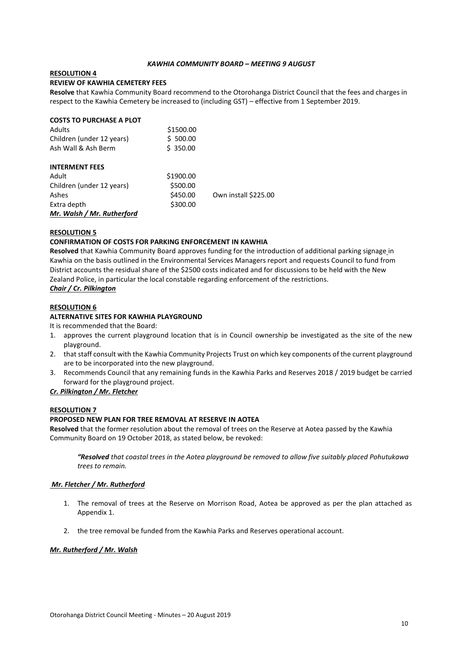#### *KAWHIA COMMUNITY BOARD – MEETING 9 AUGUST*

#### **RESOLUTION 4**

#### **REVIEW OF KAWHIA CEMETERY FEES**

**Resolve** that Kawhia Community Board recommend to the Otorohanga District Council that the fees and charges in respect to the Kawhia Cemetery be increased to (including GST) – effective from 1 September 2019.

| <b>COSTS TO PURCHASE A PLOT</b> |           |                      |
|---------------------------------|-----------|----------------------|
| <b>Adults</b>                   | \$1500.00 |                      |
| Children (under 12 years)       | \$500.00  |                      |
| Ash Wall & Ash Berm             | \$350.00  |                      |
| <b>INTERMENT FEES</b>           |           |                      |
| Adult                           | \$1900.00 |                      |
| Children (under 12 years)       | \$500.00  |                      |
| Ashes                           | \$450.00  | Own install \$225.00 |
| Extra depth                     | \$300.00  |                      |
| Mr. Walsh / Mr. Rutherford      |           |                      |

#### **RESOLUTION 5**

#### **CONFIRMATION OF COSTS FOR PARKING ENFORCEMENT IN KAWHIA**

**Resolved** that Kawhia Community Board approves funding for the introduction of additional parking signage in Kawhia on the basis outlined in the Environmental Services Managers report and requests Council to fund from District accounts the residual share of the \$2500 costs indicated and for discussions to be held with the New Zealand Police, in particular the local constable regarding enforcement of the restrictions.

#### *Chair / Cr. Pilkington*

#### **RESOLUTION 6**

#### **ALTERNATIVE SITES FOR KAWHIA PLAYGROUND**

It is recommended that the Board:

- 1. approves the current playground location that is in Council ownership be investigated as the site of the new playground.
- 2. that staff consult with the Kawhia Community Projects Trust on which key components of the current playground are to be incorporated into the new playground.
- 3. Recommends Council that any remaining funds in the Kawhia Parks and Reserves 2018 / 2019 budget be carried forward for the playground project.

#### *Cr. Pilkington / Mr. Fletcher*

#### **RESOLUTION 7**

#### **PROPOSED NEW PLAN FOR TREE REMOVAL AT RESERVE IN AOTEA**

**Resolved** that the former resolution about the removal of trees on the Reserve at Aotea passed by the Kawhia Community Board on 19 October 2018, as stated below, be revoked:

*"Resolved that coastal trees in the Aotea playground be removed to allow five suitably placed Pohutukawa trees to remain.* 

#### *Mr. Fletcher / Mr. Rutherford*

- 1. The removal of trees at the Reserve on Morrison Road, Aotea be approved as per the plan attached as Appendix 1.
- 2. the tree removal be funded from the Kawhia Parks and Reserves operational account.

#### *Mr. Rutherford / Mr. Walsh*